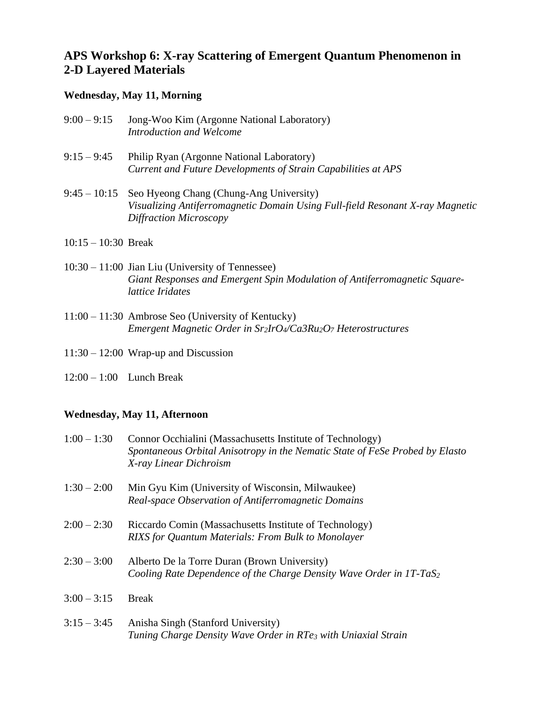## **APS Workshop 6: X-ray Scattering of Emergent Quantum Phenomenon in 2-D Layered Materials**

## **Wednesday, May 11, Morning**

| $9:00 - 9:15$ | Jong-Woo Kim (Argonne National Laboratory) |
|---------------|--------------------------------------------|
|               | Introduction and Welcome                   |

9:15 – 9:45 Philip Ryan (Argonne National Laboratory) *Current and Future Developments of Strain Capabilities at APS*

## 9:45 – 10:15 Seo Hyeong Chang (Chung-Ang University) *Visualizing Antiferromagnetic Domain Using Full-field Resonant X-ray Magnetic Diffraction Microscopy*

- 10:15 10:30 Break
- 10:30 11:00 Jian Liu (University of Tennessee) *Giant Responses and Emergent Spin Modulation of Antiferromagnetic Squarelattice Iridates*
- 11:00 11:30 Ambrose Seo (University of Kentucky) *Emergent Magnetic Order in Sr2IrO4/Ca3Ru2O<sup>7</sup> Heterostructures*
- 11:30 12:00 Wrap-up and Discussion
- 12:00 1:00 Lunch Break

## **Wednesday, May 11, Afternoon**

| $1:00 - 1:30$ | Connor Occhialini (Massachusetts Institute of Technology)<br>Spontaneous Orbital Anisotropy in the Nematic State of FeSe Probed by Elasto<br>X-ray Linear Dichroism |
|---------------|---------------------------------------------------------------------------------------------------------------------------------------------------------------------|
| $1:30 - 2:00$ | Min Gyu Kim (University of Wisconsin, Milwaukee)<br>Real-space Observation of Antiferromagnetic Domains                                                             |
| $2:00 - 2:30$ | Riccardo Comin (Massachusetts Institute of Technology)<br><b>RIXS</b> for Quantum Materials: From Bulk to Monolayer                                                 |
| $2:30 - 3:00$ | Alberto De la Torre Duran (Brown University)<br>Cooling Rate Dependence of the Charge Density Wave Order in $1T$ -TaS <sub>2</sub>                                  |
| $3:00 - 3:15$ | <b>Break</b>                                                                                                                                                        |
| $3:15 - 3:45$ | Anisha Singh (Stanford University)<br>Tuning Charge Density Wave Order in RTe <sub>3</sub> with Uniaxial Strain                                                     |